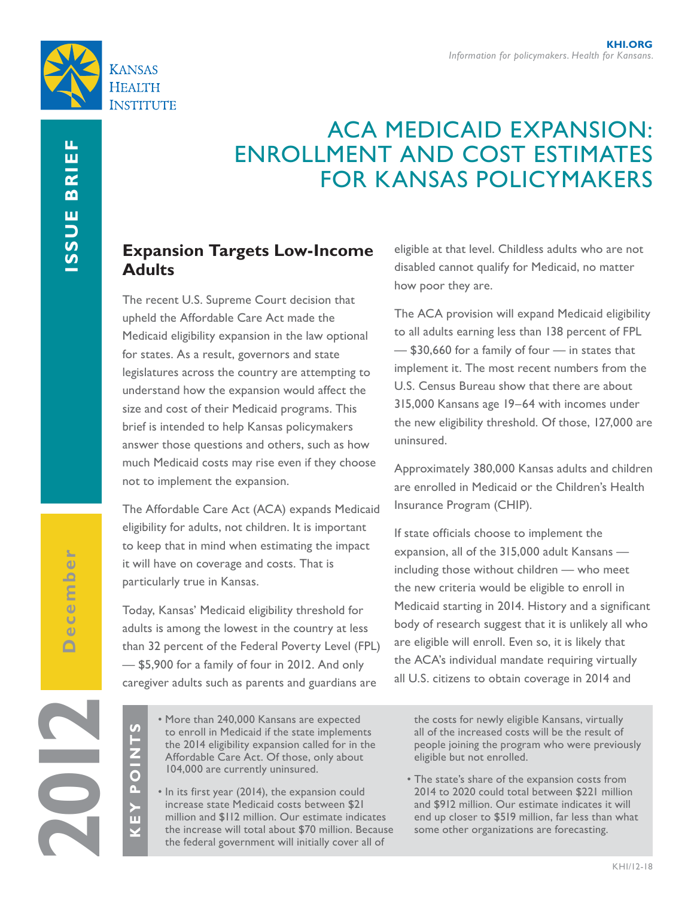

# ACA MEDICAID EXPANSION: ENROLLMENT AND COST ESTIMATES FOR KANSAS POLICYMAKERS

## **Expansion Targets Low-Income Adults**

The recent U.S. Supreme Court decision that upheld the Affordable Care Act made the Medicaid eligibility expansion in the law optional for states. As a result, governors and state legislatures across the country are attempting to understand how the expansion would affect the size and cost of their Medicaid programs. This brief is intended to help Kansas policymakers answer those questions and others, such as how much Medicaid costs may rise even if they choose not to implement the expansion.

The Affordable Care Act (ACA) expands Medicaid eligibility for adults, not children. It is important to keep that in mind when estimating the impact it will have on coverage and costs. That is particularly true in Kansas.

Today, Kansas' Medicaid eligibility threshold for adults is among the lowest in the country at less than 32 percent of the Federal Poverty Level (FPL) — \$5,900 for a family of four in 2012. And only caregiver adults such as parents and guardians are

**2012**

**KEY POINTS**

n

 $\mathbf{r}$ 

 $\frac{z}{0}$ 

 $\overline{U}$ 

- More than 240,000 Kansans are expected to enroll in Medicaid if the state implements the 2014 eligibility expansion called for in the Affordable Care Act. Of those, only about 104,000 are currently uninsured.
- In its first year (2014), the expansion could increase state Medicaid costs between \$21 million and \$112 million. Our estimate indicates the increase will total about \$70 million. Because the federal government will initially cover all of

eligible at that level. Childless adults who are not disabled cannot qualify for Medicaid, no matter how poor they are.

The ACA provision will expand Medicaid eligibility to all adults earning less than 138 percent of FPL — \$30,660 for a family of four — in states that implement it. The most recent numbers from the U.S. Census Bureau show that there are about 315,000 Kansans age 19–64 with incomes under the new eligibility threshold. Of those, 127,000 are uninsured.

Approximately 380,000 Kansas adults and children are enrolled in Medicaid or the Children's Health Insurance Program (CHIP).

If state officials choose to implement the expansion, all of the 315,000 adult Kansans including those without children — who meet the new criteria would be eligible to enroll in Medicaid starting in 2014. History and a significant body of research suggest that it is unlikely all who are eligible will enroll. Even so, it is likely that the ACA's individual mandate requiring virtually all U.S. citizens to obtain coverage in 2014 and

the costs for newly eligible Kansans, virtually all of the increased costs will be the result of people joining the program who were previously eligible but not enrolled.

• The state's share of the expansion costs from 2014 to 2020 could total between \$221 million and \$912 million. Our estimate indicates it will end up closer to \$519 million, far less than what some other organizations are forecasting.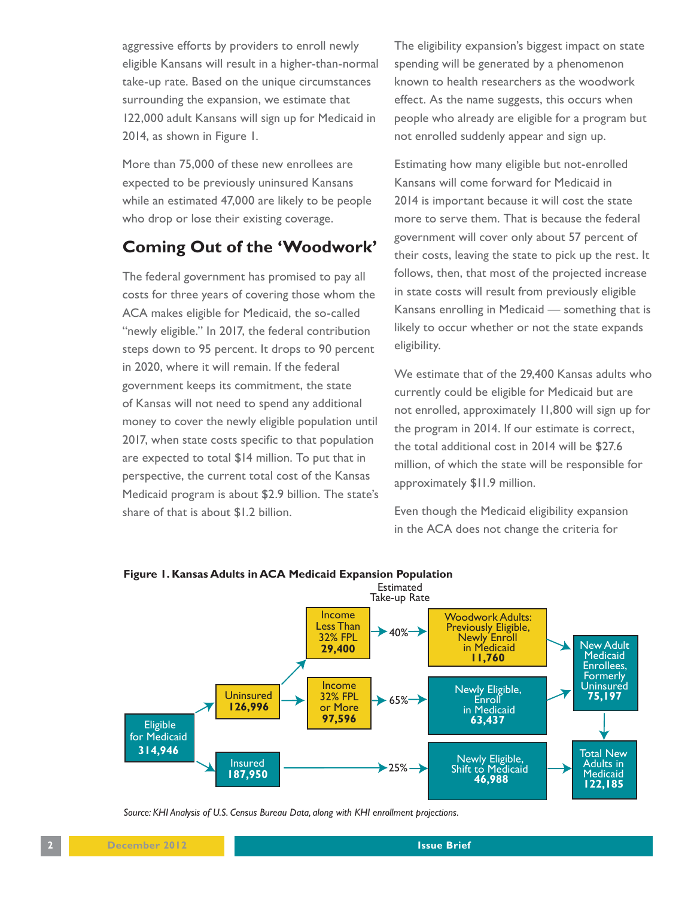aggressive efforts by providers to enroll newly eligible Kansans will result in a higher-than-normal take-up rate. Based on the unique circumstances surrounding the expansion, we estimate that 122,000 adult Kansans will sign up for Medicaid in 2014, as shown in Figure 1.

More than 75,000 of these new enrollees are expected to be previously uninsured Kansans while an estimated 47,000 are likely to be people who drop or lose their existing coverage.

### **Coming Out of the 'Woodwork'**

The federal government has promised to pay all costs for three years of covering those whom the ACA makes eligible for Medicaid, the so-called "newly eligible." In 2017, the federal contribution steps down to 95 percent. It drops to 90 percent in 2020, where it will remain. If the federal government keeps its commitment, the state of Kansas will not need to spend any additional money to cover the newly eligible population until 2017, when state costs specific to that population are expected to total \$14 million. To put that in perspective, the current total cost of the Kansas Medicaid program is about \$2.9 billion. The state's share of that is about \$1.2 billion.

The eligibility expansion's biggest impact on state spending will be generated by a phenomenon known to health researchers as the woodwork effect. As the name suggests, this occurs when people who already are eligible for a program but not enrolled suddenly appear and sign up.

Estimating how many eligible but not-enrolled Kansans will come forward for Medicaid in 2014 is important because it will cost the state more to serve them. That is because the federal government will cover only about 57 percent of their costs, leaving the state to pick up the rest. It follows, then, that most of the projected increase in state costs will result from previously eligible Kansans enrolling in Medicaid — something that is likely to occur whether or not the state expands eligibility.

We estimate that of the 29,400 Kansas adults who currently could be eligible for Medicaid but are not enrolled, approximately 11,800 will sign up for the program in 2014. If our estimate is correct, the total additional cost in 2014 will be \$27.6 million, of which the state will be responsible for approximately \$11.9 million.

Even though the Medicaid eligibility expansion in the ACA does not change the criteria for



#### **Figure 1. Kansas Adults in ACA Medicaid Expansion Population**

*Source: KHI Analysis of U.S. Census Bureau Data, along with KHI enrollment projections.*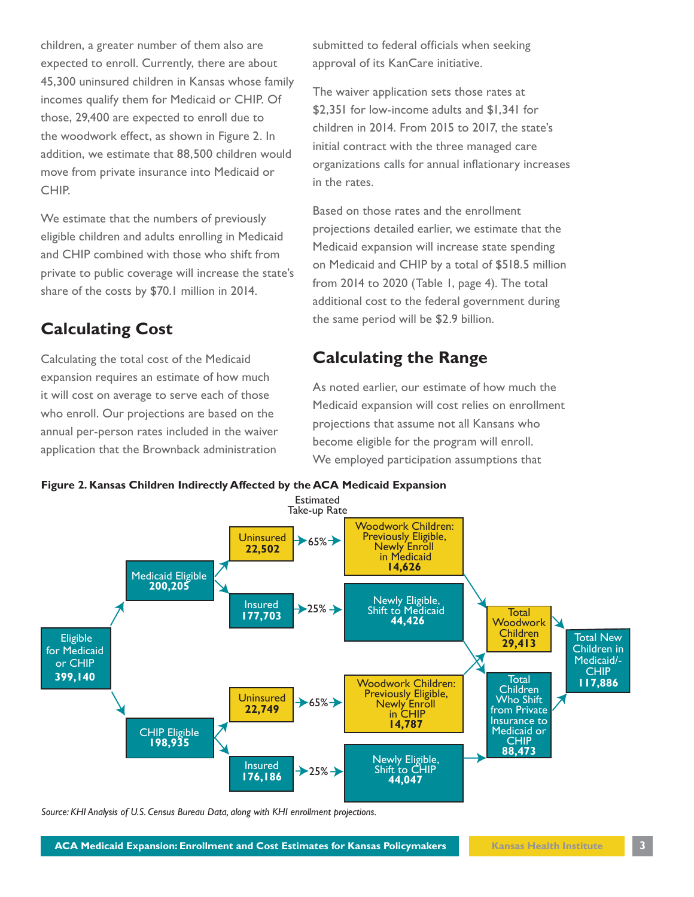children, a greater number of them also are expected to enroll. Currently, there are about 45,300 uninsured children in Kansas whose family incomes qualify them for Medicaid or CHIP. Of those, 29,400 are expected to enroll due to the woodwork effect, as shown in Figure 2. In addition, we estimate that 88,500 children would move from private insurance into Medicaid or CHIP.

We estimate that the numbers of previously eligible children and adults enrolling in Medicaid and CHIP combined with those who shift from private to public coverage will increase the state's share of the costs by \$70.1 million in 2014.

### **Calculating Cost**

Calculating the total cost of the Medicaid expansion requires an estimate of how much it will cost on average to serve each of those who enroll. Our projections are based on the annual per-person rates included in the waiver application that the Brownback administration submitted to federal officials when seeking approval of its KanCare initiative.

The waiver application sets those rates at \$2,351 for low-income adults and \$1,341 for children in 2014. From 2015 to 2017, the state's initial contract with the three managed care organizations calls for annual inflationary increases in the rates.

Based on those rates and the enrollment projections detailed earlier, we estimate that the Medicaid expansion will increase state spending on Medicaid and CHIP by a total of \$518.5 million from 2014 to 2020 (Table 1, page 4). The total additional cost to the federal government during the same period will be \$2.9 billion.

### **Calculating the Range**

As noted earlier, our estimate of how much the Medicaid expansion will cost relies on enrollment projections that assume not all Kansans who become eligible for the program will enroll. We employed participation assumptions that





*Source: KHI Analysis of U.S. Census Bureau Data, along with KHI enrollment projections.*